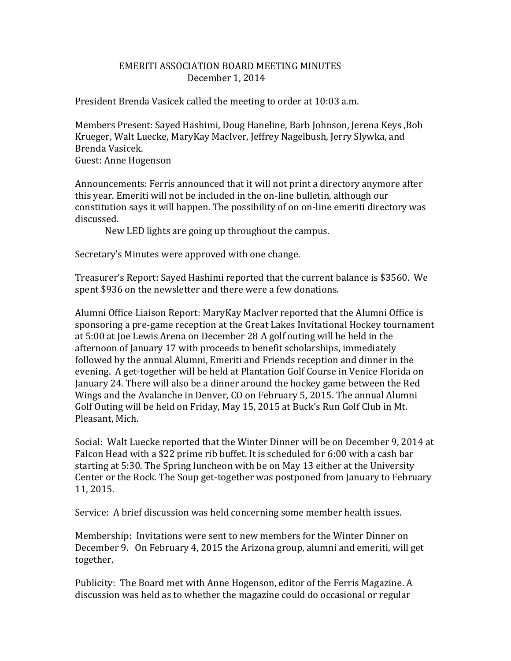## EMERITI ASSOCIATION BOARD MEETING MINUTES December 1, 2014

President Brenda Vasicek called the meeting to order at 10:03 a.m.

Members Present: Sayed Hashimi, Doug Haneline, Barb Johnson, Jerena Keys ,Bob Krueger, Walt Luecke, MaryKay MacIver, Jeffrey Nagelbush, Jerry Slywka, and Brenda Vasicek. Guest: Anne Hogenson

Announcements: Ferris announced that it will not print a directory anymore after this year. Emeriti will not be included in the on-line bulletin, although our constitution says it will happen. The possibility of on on-line emeriti directory was discussed.

New LED lights are going up throughout the campus.

Secretary's Minutes were approved with one change.

Treasurer's Report: Sayed Hashimi reported that the current balance is \$3560. We spent \$936 on the newsletter and there were a few donations.

Alumni Office Liaison Report: MaryKay MacIver reported that the Alumni Office is sponsoring a pre-game reception at the Great Lakes Invitational Hockey tournament at 5:00 at Joe Lewis Arena on December 28 A golf outing will be held in the afternoon of January 17 with proceeds to benefit scholarships, immediately followed by the annual Alumni, Emeriti and Friends reception and dinner in the evening. A get-together will be held at Plantation Golf Course in Venice Florida on January 24. There will also be a dinner around the hockey game between the Red Wings and the Avalanche in Denver, CO on February 5, 2015. The annual Alumni Golf Outing will be held on Friday, May 15, 2015 at Buck's Run Golf Club in Mt. Pleasant, Mich.

Social: Walt Luecke reported that the Winter Dinner will be on December 9, 2014 at Falcon Head with a \$22 prime rib buffet. It is scheduled for 6:00 with a cash bar starting at 5:30. The Spring luncheon with be on May 13 either at the University Center or the Rock. The Soup get-together was postponed from January to February 11, 2015.

Service: A brief discussion was held concerning some member health issues.

Membership: Invitations were sent to new members for the Winter Dinner on December 9. On February 4, 2015 the Arizona group, alumni and emeriti, will get together.

Publicity: The Board met with Anne Hogenson, editor of the Ferris Magazine. A discussion was held as to whether the magazine could do occasional or regular